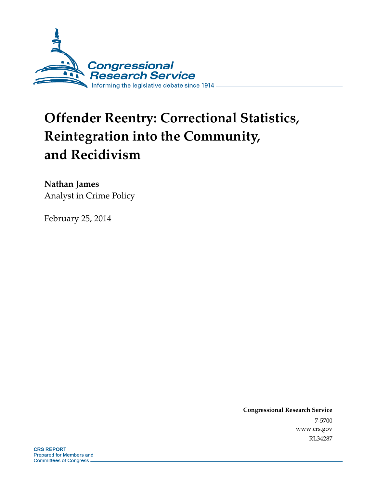

# **Offender Reentry: Correctional Statistics, Reintegration into the Community, and Recidivism**

## **Nathan James**

Analyst in Crime Policy

February 25, 2014

**Congressional Research Service**  7-5700 www.crs.gov RL34287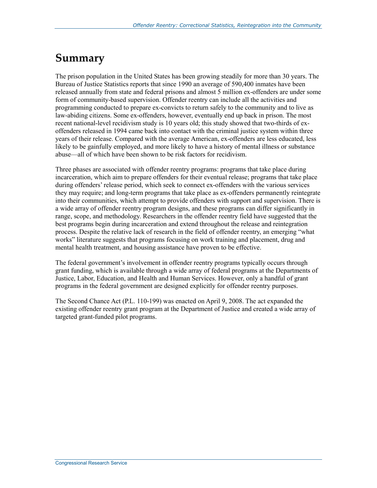## **Summary**

The prison population in the United States has been growing steadily for more than 30 years. The Bureau of Justice Statistics reports that since 1990 an average of 590,400 inmates have been released annually from state and federal prisons and almost 5 million ex-offenders are under some form of community-based supervision. Offender reentry can include all the activities and programming conducted to prepare ex-convicts to return safely to the community and to live as law-abiding citizens. Some ex-offenders, however, eventually end up back in prison. The most recent national-level recidivism study is 10 years old; this study showed that two-thirds of exoffenders released in 1994 came back into contact with the criminal justice system within three years of their release. Compared with the average American, ex-offenders are less educated, less likely to be gainfully employed, and more likely to have a history of mental illness or substance abuse—all of which have been shown to be risk factors for recidivism.

Three phases are associated with offender reentry programs: programs that take place during incarceration, which aim to prepare offenders for their eventual release; programs that take place during offenders' release period, which seek to connect ex-offenders with the various services they may require; and long-term programs that take place as ex-offenders permanently reintegrate into their communities, which attempt to provide offenders with support and supervision. There is a wide array of offender reentry program designs, and these programs can differ significantly in range, scope, and methodology. Researchers in the offender reentry field have suggested that the best programs begin during incarceration and extend throughout the release and reintegration process. Despite the relative lack of research in the field of offender reentry, an emerging "what works" literature suggests that programs focusing on work training and placement, drug and mental health treatment, and housing assistance have proven to be effective.

The federal government's involvement in offender reentry programs typically occurs through grant funding, which is available through a wide array of federal programs at the Departments of Justice, Labor, Education, and Health and Human Services. However, only a handful of grant programs in the federal government are designed explicitly for offender reentry purposes.

The Second Chance Act (P.L. 110-199) was enacted on April 9, 2008. The act expanded the existing offender reentry grant program at the Department of Justice and created a wide array of targeted grant-funded pilot programs.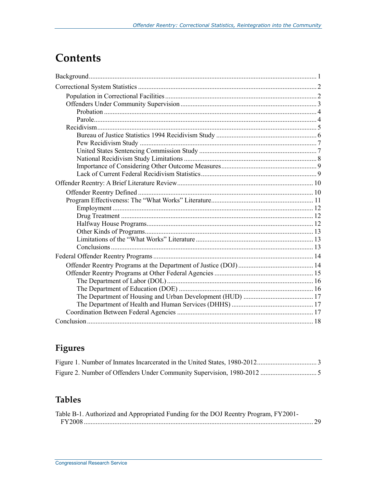## **Contents**

## Figures

## **Tables**

| Table B-1. Authorized and Appropriated Funding for the DOJ Reentry Program, FY2001- |  |
|-------------------------------------------------------------------------------------|--|
|                                                                                     |  |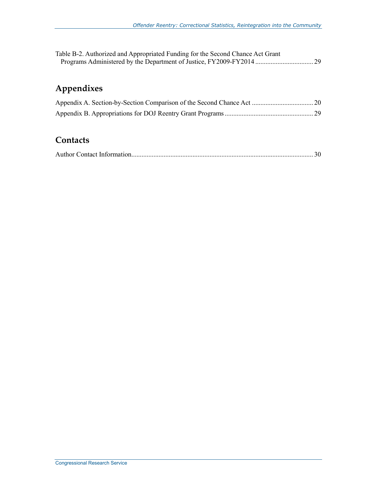| Table B-2. Authorized and Appropriated Funding for the Second Chance Act Grant |  |
|--------------------------------------------------------------------------------|--|
|                                                                                |  |

## **Appendixes**

## **Contacts**

|--|--|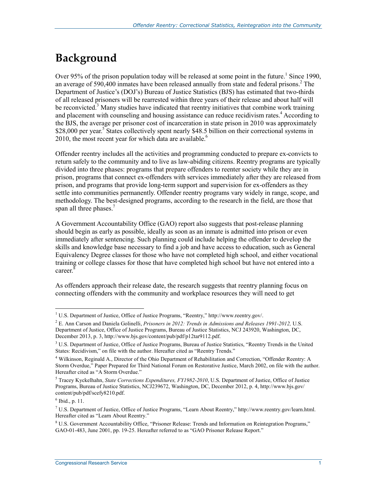## **Background**

Over 95% of the prison population today will be released at some point in the future.<sup>1</sup> Since 1990, an average of 590,400 inmates have been released annually from state and federal prisons.<sup>2</sup> The Department of Justice's (DOJ's) Bureau of Justice Statistics (BJS) has estimated that two-thirds of all released prisoners will be rearrested within three years of their release and about half will be reconvicted.<sup>3</sup> Many studies have indicated that reentry initiatives that combine work training and placement with counseling and housing assistance can reduce recidivism rates.<sup>4</sup> According to the BJS, the average per prisoner cost of incarceration in state prison in 2010 was approximately \$28,000 per year.<sup>5</sup> States collectively spent nearly \$48.5 billion on their correctional systems in 2010, the most recent year for which data are available.<sup>6</sup>

Offender reentry includes all the activities and programming conducted to prepare ex-convicts to return safely to the community and to live as law-abiding citizens. Reentry programs are typically divided into three phases: programs that prepare offenders to reenter society while they are in prison, programs that connect ex-offenders with services immediately after they are released from prison, and programs that provide long-term support and supervision for ex-offenders as they settle into communities permanently. Offender reentry programs vary widely in range, scope, and methodology. The best-designed programs, according to the research in the field, are those that span all three phases.<sup>7</sup>

A Government Accountability Office (GAO) report also suggests that post-release planning should begin as early as possible, ideally as soon as an inmate is admitted into prison or even immediately after sentencing. Such planning could include helping the offender to develop the skills and knowledge base necessary to find a job and have access to education, such as General Equivalency Degree classes for those who have not completed high school, and either vocational training or college classes for those that have completed high school but have not entered into a career<sup>8</sup>

As offenders approach their release date, the research suggests that reentry planning focus on connecting offenders with the community and workplace resources they will need to get

 1 U.S. Department of Justice, Office of Justice Programs, "Reentry," http://www.reentry.gov/.

<sup>2</sup> E. Ann Carson and Daniela Golinelli, *Prisoners in 2012: Trends in Admissions and Releases 1991-2012,* U.S. Department of Justice, Office of Justice Programs, Bureau of Justice Statistics, NCJ 243920, Washington, DC, December 2013, p. 3, http://www.bjs.gov/content/pub/pdf/p12tar9112.pdf.

<sup>&</sup>lt;sup>3</sup> U.S. Department of Justice, Office of Justice Programs, Bureau of Justice Statistics, "Reentry Trends in the United States: Recidivism," on file with the author. Hereafter cited as "Reentry Trends."

<sup>4</sup> Wilkinson, Reginald A., Director of the Ohio Department of Rehabilitation and Correction, "Offender Reentry: A Storm Overdue," Paper Prepared for Third National Forum on Restorative Justice, March 2002, on file with the author. Hereafter cited as "A Storm Overdue."

<sup>5</sup> Tracey Kyckelhahn, *State Corrections Expenditures, FY1982-2010*, U.S. Department of Justice, Office of Justice Programs, Bureau of Justice Statistics, NCJ239672, Washington, DC, December 2012, p. 4, http://www.bjs.gov/ content/pub/pdf/scefy8210.pdf.

<sup>6</sup> Ibid., p. 11.

<sup>7</sup> U.S. Department of Justice, Office of Justice Programs, "Learn About Reentry," http://www.reentry.gov/learn.html. Hereafter cited as "Learn About Reentry."

<sup>&</sup>lt;sup>8</sup> U.S. Government Accountability Office, "Prisoner Release: Trends and Information on Reintegration Programs," GAO-01-483, June 2001, pp. 19-25. Hereafter referred to as "GAO Prisoner Release Report."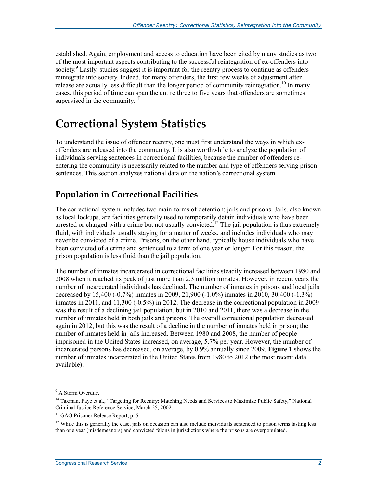established. Again, employment and access to education have been cited by many studies as two of the most important aspects contributing to the successful reintegration of ex-offenders into society.<sup>9</sup> Lastly, studies suggest it is important for the reentry process to continue as offenders reintegrate into society. Indeed, for many offenders, the first few weeks of adjustment after release are actually less difficult than the longer period of community reintegration.<sup>10</sup> In many cases, this period of time can span the entire three to five years that offenders are sometimes supervised in the community.<sup>11</sup>

## **Correctional System Statistics**

To understand the issue of offender reentry, one must first understand the ways in which exoffenders are released into the community. It is also worthwhile to analyze the population of individuals serving sentences in correctional facilities, because the number of offenders reentering the community is necessarily related to the number and type of offenders serving prison sentences. This section analyzes national data on the nation's correctional system.

## **Population in Correctional Facilities**

The correctional system includes two main forms of detention: jails and prisons. Jails, also known as local lockups, are facilities generally used to temporarily detain individuals who have been arrested or charged with a crime but not usually convicted.<sup>12</sup> The jail population is thus extremely fluid, with individuals usually staying for a matter of weeks, and includes individuals who may never be convicted of a crime. Prisons, on the other hand, typically house individuals who have been convicted of a crime and sentenced to a term of one year or longer. For this reason, the prison population is less fluid than the jail population.

The number of inmates incarcerated in correctional facilities steadily increased between 1980 and 2008 when it reached its peak of just more than 2.3 million inmates. However, in recent years the number of incarcerated individuals has declined. The number of inmates in prisons and local jails decreased by 15,400 (-0.7%) inmates in 2009, 21,900 (-1.0%) inmates in 2010, 30,400 (-1.3%) inmates in 2011, and 11,300 (-0.5%) in 2012. The decrease in the correctional population in 2009 was the result of a declining jail population, but in 2010 and 2011, there was a decrease in the number of inmates held in both jails and prisons. The overall correctional population decreased again in 2012, but this was the result of a decline in the number of inmates held in prison; the number of inmates held in jails increased. Between 1980 and 2008, the number of people imprisoned in the United States increased, on average, 5.7% per year. However, the number of incarcerated persons has decreased, on average, by 0.9% annually since 2009. **Figure 1** shows the number of inmates incarcerated in the United States from 1980 to 2012 (the most recent data available).

<sup>&</sup>lt;sup>9</sup> A Storm Overdue.

<sup>&</sup>lt;sup>10</sup> Taxman, Faye et al., "Targeting for Reentry: Matching Needs and Services to Maximize Public Safety," National Criminal Justice Reference Service, March 25, 2002.

<sup>&</sup>lt;sup>11</sup> GAO Prisoner Release Report, p. 5.

 $12$  While this is generally the case, jails on occasion can also include individuals sentenced to prison terms lasting less than one year (misdemeanors) and convicted felons in jurisdictions where the prisons are overpopulated.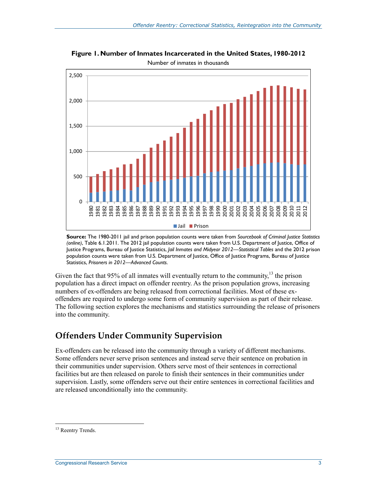

**Figure 1. Number of Inmates Incarcerated in the United States, 1980-2012**  Number of inmates in thousands

**Source:** The 1980-2011 jail and prison population counts were taken from *Sourcebook of Criminal Justice Statistics (online)*, Table 6.1.2011. The 2012 jail population counts were taken from U.S. Department of Justice, Office of Justice Programs, Bureau of Justice Statistics, *Jail Inmates and Midyear 2012—Statistical Tables* and the 2012 prison population counts were taken from U.S. Department of Justice, Office of Justice Programs, Bureau of Justice Statistics, *Prisoners in 2012—Advanced Counts*.

Given the fact that 95% of all inmates will eventually return to the community,  $^{13}$  the prison population has a direct impact on offender reentry. As the prison population grows, increasing numbers of ex-offenders are being released from correctional facilities. Most of these exoffenders are required to undergo some form of community supervision as part of their release. The following section explores the mechanisms and statistics surrounding the release of prisoners into the community.

## **Offenders Under Community Supervision**

Ex-offenders can be released into the community through a variety of different mechanisms. Some offenders never serve prison sentences and instead serve their sentence on probation in their communities under supervision. Others serve most of their sentences in correctional facilities but are then released on parole to finish their sentences in their communities under supervision. Lastly, some offenders serve out their entire sentences in correctional facilities and are released unconditionally into the community.

<u>.</u>

<sup>&</sup>lt;sup>13</sup> Reentry Trends.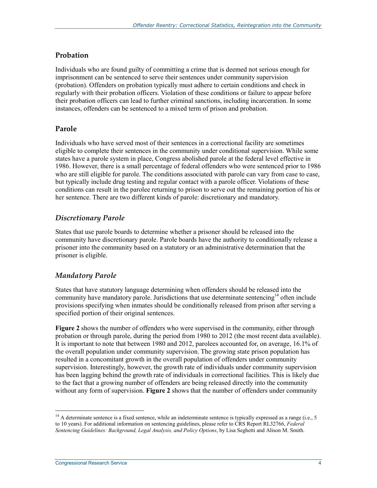#### **Probation**

Individuals who are found guilty of committing a crime that is deemed not serious enough for imprisonment can be sentenced to serve their sentences under community supervision (probation). Offenders on probation typically must adhere to certain conditions and check in regularly with their probation officers. Violation of these conditions or failure to appear before their probation officers can lead to further criminal sanctions, including incarceration. In some instances, offenders can be sentenced to a mixed term of prison and probation.

#### **Parole**

Individuals who have served most of their sentences in a correctional facility are sometimes eligible to complete their sentences in the community under conditional supervision. While some states have a parole system in place, Congress abolished parole at the federal level effective in 1986. However, there is a small percentage of federal offenders who were sentenced prior to 1986 who are still eligible for parole. The conditions associated with parole can vary from case to case, but typically include drug testing and regular contact with a parole officer. Violations of these conditions can result in the parolee returning to prison to serve out the remaining portion of his or her sentence. There are two different kinds of parole: discretionary and mandatory.

#### *Discretionary Parole*

States that use parole boards to determine whether a prisoner should be released into the community have discretionary parole. Parole boards have the authority to conditionally release a prisoner into the community based on a statutory or an administrative determination that the prisoner is eligible.

#### *Mandatory Parole*

States that have statutory language determining when offenders should be released into the community have mandatory parole. Jurisdictions that use determinate sentencing<sup>14</sup> often include provisions specifying when inmates should be conditionally released from prison after serving a specified portion of their original sentences.

**Figure 2** shows the number of offenders who were supervised in the community, either through probation or through parole, during the period from 1980 to 2012 (the most recent data available). It is important to note that between 1980 and 2012, parolees accounted for, on average, 16.1% of the overall population under community supervision. The growing state prison population has resulted in a concomitant growth in the overall population of offenders under community supervision. Interestingly, however, the growth rate of individuals under community supervision has been lagging behind the growth rate of individuals in correctional facilities. This is likely due to the fact that a growing number of offenders are being released directly into the community without any form of supervision. **Figure 2** shows that the number of offenders under community

<sup>1</sup>  $14$  A determinate sentence is a fixed sentence, while an indeterminate sentence is typically expressed as a range (i.e., 5 to 10 years). For additional information on sentencing guidelines, please refer to CRS Report RL32766, *Federal Sentencing Guidelines: Background, Legal Analysis, and Policy Options*, by Lisa Seghetti and Alison M. Smith.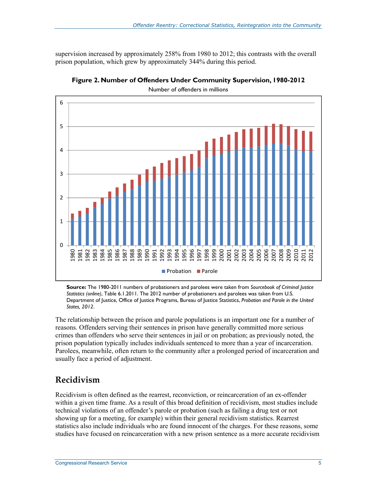supervision increased by approximately 258% from 1980 to 2012; this contrasts with the overall prison population, which grew by approximately 344% during this period.



**Figure 2. Number of Offenders Under Community Supervision, 1980-2012** 

Number of offenders in millions

**Source:** The 1980-2011 numbers of probationers and parolees were taken from *Sourcebook of Criminal Justice Statistics (online)*, Table 6.1.2011. The 2012 number of probationers and parolees was taken from U.S. Department of Justice, Office of Justice Programs, Bureau of Justice Statistics, *Probation and Parole in the United States, 2012*.

The relationship between the prison and parole populations is an important one for a number of reasons. Offenders serving their sentences in prison have generally committed more serious crimes than offenders who serve their sentences in jail or on probation; as previously noted, the prison population typically includes individuals sentenced to more than a year of incarceration. Parolees, meanwhile, often return to the community after a prolonged period of incarceration and usually face a period of adjustment.

### **Recidivism**

Recidivism is often defined as the rearrest, reconviction, or reincarceration of an ex-offender within a given time frame. As a result of this broad definition of recidivism, most studies include technical violations of an offender's parole or probation (such as failing a drug test or not showing up for a meeting, for example) within their general recidivism statistics. Rearrest statistics also include individuals who are found innocent of the charges. For these reasons, some studies have focused on reincarceration with a new prison sentence as a more accurate recidivism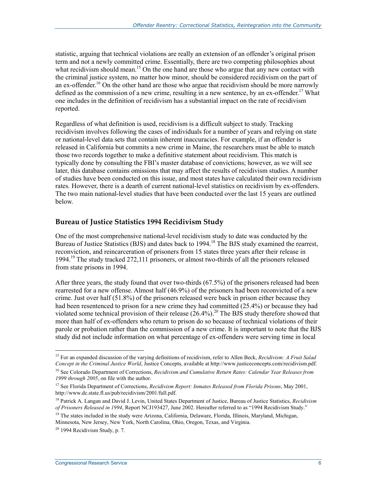statistic, arguing that technical violations are really an extension of an offender's original prison term and not a newly committed crime. Essentially, there are two competing philosophies about what recidivism should mean.<sup>15</sup> On the one hand are those who argue that any new contact with the criminal justice system, no matter how minor, should be considered recidivism on the part of an ex-offender.<sup>16</sup> On the other hand are those who argue that recidivism should be more narrowly defined as the commission of a new crime, resulting in a new sentence, by an ex-offender.<sup>17</sup> What one includes in the definition of recidivism has a substantial impact on the rate of recidivism reported.

Regardless of what definition is used, recidivism is a difficult subject to study. Tracking recidivism involves following the cases of individuals for a number of years and relying on state or national-level data sets that contain inherent inaccuracies. For example, if an offender is released in California but commits a new crime in Maine, the researchers must be able to match those two records together to make a definitive statement about recidivism. This match is typically done by consulting the FBI's master database of convictions; however, as we will see later, this database contains omissions that may affect the results of recidivism studies. A number of studies have been conducted on this issue, and most states have calculated their own recidivism rates. However, there is a dearth of current national-level statistics on recidivism by ex-offenders. The two main national-level studies that have been conducted over the last 15 years are outlined below.

#### **Bureau of Justice Statistics 1994 Recidivism Study**

One of the most comprehensive national-level recidivism study to date was conducted by the Bureau of Justice Statistics (BJS) and dates back to 1994.<sup>18</sup> The BJS study examined the rearrest, reconviction, and reincarceration of prisoners from 15 states three years after their release in 1994.<sup>19</sup> The study tracked 272,111 prisoners, or almost two-thirds of all the prisoners released from state prisons in 1994.

After three years, the study found that over two-thirds (67.5%) of the prisoners released had been rearrested for a new offense. Almost half (46.9%) of the prisoners had been reconvicted of a new crime. Just over half (51.8%) of the prisoners released were back in prison either because they had been resentenced to prison for a new crime they had committed (25.4%) or because they had violated some technical provision of their release  $(26.4\%)$ .<sup>20</sup> The BJS study therefore showed that more than half of ex-offenders who return to prison do so because of technical violations of their parole or probation rather than the commission of a new crime. It is important to note that the BJS study did not include information on what percentage of ex-offenders were serving time in local

<sup>&</sup>lt;u>.</u> 15 For an expanded discussion of the varying definitions of recidivism, refer to Allen Beck, *Recidivism: A Fruit Salad Concept in the Criminal Justice World*, Justice Concepts, available at http://www.justiceconcepts.com/recidivism.pdf.

<sup>16</sup> See Colorado Department of Corrections, *Recidivism and Cumulative Return Rates: Calendar Year Releases from 1999 through 2005*, on file with the author.

<sup>17</sup> See Florida Department of Corrections, *Recidivism Report: Inmates Released from Florida Prisons*, May 2001, http://www.dc.state.fl.us/pub/recidivism/2001/full.pdf.

<sup>18</sup> Patrick A. Langan and David J. Levin, United States Department of Justice, Bureau of Justice Statistics, *Recidivism of Prisoners Released in 1994*, Report NCJ193427, June 2002. Hereafter referred to as "1994 Recidivism Study."

<sup>&</sup>lt;sup>19</sup> The states included in the study were Arizona, California, Delaware, Florida, Illinois, Maryland, Michigan, Minnesota, New Jersey, New York, North Carolina, Ohio, Oregon, Texas, and Virginia.

 $20$  1994 Recidivism Study, p. 7.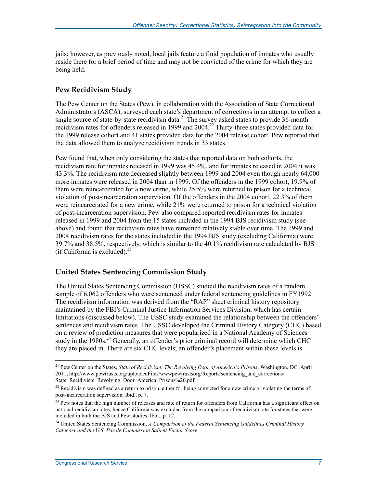jails; however, as previously noted, local jails feature a fluid population of inmates who usually reside there for a brief period of time and may not be convicted of the crime for which they are being held.

#### **Pew Recidivism Study**

The Pew Center on the States (Pew), in collaboration with the Association of State Correctional Administrators (ASCA), surveyed each state's department of corrections in an attempt to collect a single source of state-by-state recidivism data.<sup>21</sup> The survey asked states to provide  $36$ -month recidivism rates for offenders released in 1999 and  $2004.<sup>22</sup>$  Thirty-three states provided data for the 1999 release cohort and 41 states provided data for the 2004 release cohort. Pew reported that the data allowed them to analyze recidivism trends in 33 states.

Pew found that, when only considering the states that reported data on both cohorts, the recidivism rate for inmates released in 1999 was 45.4%, and for inmates released in 2004 it was 43.3%. The recidivism rate decreased slightly between 1999 and 2004 even though nearly 64,000 more inmates were released in 2004 than in 1999. Of the offenders in the 1999 cohort, 19.9% of them were reincarcerated for a new crime, while 25.5% were returned to prison for a technical violation of post-incarceration supervision. Of the offenders in the 2004 cohort, 22.3% of them were reincarcerated for a new crime, while 21% were returned to prison for a technical violation of post-incarceration supervision. Pew also compared reported recidivism rates for inmates released in 1999 and 2004 from the 15 states included in the 1994 BJS recidivism study (see above) and found that recidivism rates have remained relatively stable over time. The 1999 and 2004 recidivism rates for the states included in the 1994 BJS study (excluding California) were 39.7% and 38.5%, respectively, which is similar to the 40.1% recidivism rate calculated by BJS (if California is excluded). $^{23}$ 

#### **United States Sentencing Commission Study**

The United States Sentencing Commission (USSC) studied the recidivism rates of a random sample of 6,062 offenders who were sentenced under federal sentencing guidelines in FY1992. The recidivism information was derived from the "RAP" sheet criminal history repository maintained by the FBI's Criminal Justice Information Services Division, which has certain limitations (discussed below). The USSC study examined the relationship between the offenders' sentences and recidivism rates. The USSC developed the Criminal History Category (CHC) based on a review of prediction measures that were popularized in a National Academy of Sciences study in the  $1980s<sup>24</sup>$  Generally, an offender's prior criminal record will determine which CHC they are placed in. There are six CHC levels; an offender's placement within these levels is

<sup>21</sup> Pew Center on the States, *State of Recidivism: The Revolving Door of America's Prisons*, Washington, DC, April 2011, http://www.pewtrusts.org/uploadedFiles/wwwpewtrustsorg/Reports/sentencing\_and\_corrections/ State\_Recidivism\_Revolving\_Door\_America\_Prisons%20.pdf.

<sup>&</sup>lt;sup>22</sup> Recidivism was defined as a return to prison, either for being convicted for a new crime or violating the terms of post-incarceration supervision. Ibid., p. 7.

<sup>&</sup>lt;sup>23</sup> Pew notes that the high number of releases and rate of return for offenders from California has a significant effect on national recidivism rates, hence California was excluded from the comparison of recidivism rate for states that were included in both the BJS and Pew studies. Ibid., p. 12.

<sup>24</sup> United States Sentencing Commission, *A Comparison of the Federal Sentencing Guidelines Criminal History Category and the U.S. Parole Commission Salient Factor Score*.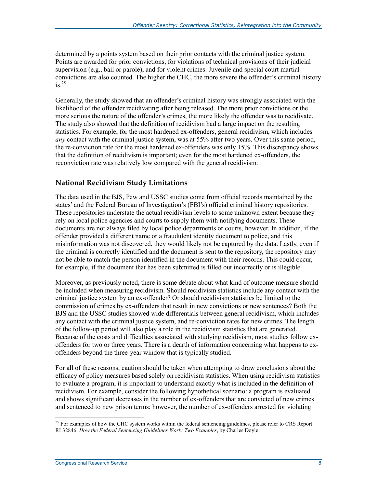determined by a points system based on their prior contacts with the criminal justice system. Points are awarded for prior convictions, for violations of technical provisions of their judicial supervision (e.g., bail or parole), and for violent crimes. Juvenile and special court martial convictions are also counted. The higher the CHC, the more severe the offender's criminal history is. $^{25}$ 

Generally, the study showed that an offender's criminal history was strongly associated with the likelihood of the offender recidivating after being released. The more prior convictions or the more serious the nature of the offender's crimes, the more likely the offender was to recidivate. The study also showed that the definition of recidivism had a large impact on the resulting statistics. For example, for the most hardened ex-offenders, general recidivism, which includes *any* contact with the criminal justice system, was at 55% after two years. Over this same period, the re-conviction rate for the most hardened ex-offenders was only 15%. This discrepancy shows that the definition of recidivism is important; even for the most hardened ex-offenders, the reconviction rate was relatively low compared with the general recidivism.

#### **National Recidivism Study Limitations**

The data used in the BJS, Pew and USSC studies come from official records maintained by the states' and the Federal Bureau of Investigation's (FBI's) official criminal history repositories. These repositories understate the actual recidivism levels to some unknown extent because they rely on local police agencies and courts to supply them with notifying documents. These documents are not always filed by local police departments or courts, however. In addition, if the offender provided a different name or a fraudulent identity document to police, and this misinformation was not discovered, they would likely not be captured by the data. Lastly, even if the criminal is correctly identified and the document is sent to the repository, the repository may not be able to match the person identified in the document with their records. This could occur, for example, if the document that has been submitted is filled out incorrectly or is illegible.

Moreover, as previously noted, there is some debate about what kind of outcome measure should be included when measuring recidivism. Should recidivism statistics include any contact with the criminal justice system by an ex-offender? Or should recidivism statistics be limited to the commission of crimes by ex-offenders that result in new convictions or new sentences? Both the BJS and the USSC studies showed wide differentials between general recidivism, which includes any contact with the criminal justice system, and re-conviction rates for new crimes. The length of the follow-up period will also play a role in the recidivism statistics that are generated. Because of the costs and difficulties associated with studying recidivism, most studies follow exoffenders for two or three years. There is a dearth of information concerning what happens to exoffenders beyond the three-year window that is typically studied.

For all of these reasons, caution should be taken when attempting to draw conclusions about the efficacy of policy measures based solely on recidivism statistics. When using recidivism statistics to evaluate a program, it is important to understand exactly what is included in the definition of recidivism. For example, consider the following hypothetical scenario: a program is evaluated and shows significant decreases in the number of ex-offenders that are convicted of new crimes and sentenced to new prison terms; however, the number of ex-offenders arrested for violating

<sup>1</sup>  $^{25}$  For examples of how the CHC system works within the federal sentencing guidelines, please refer to CRS Report RL32846, *How the Federal Sentencing Guidelines Work: Two Examples*, by Charles Doyle.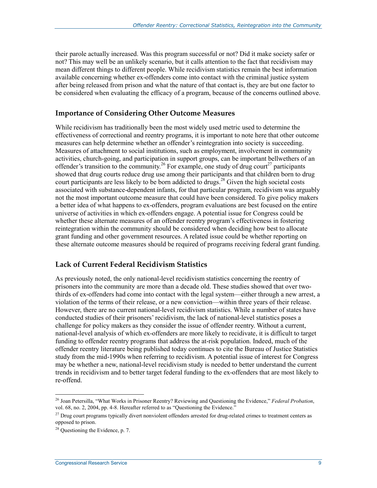their parole actually increased. Was this program successful or not? Did it make society safer or not? This may well be an unlikely scenario, but it calls attention to the fact that recidivism may mean different things to different people. While recidivism statistics remain the best information available concerning whether ex-offenders come into contact with the criminal justice system after being released from prison and what the nature of that contact is, they are but one factor to be considered when evaluating the efficacy of a program, because of the concerns outlined above.

#### **Importance of Considering Other Outcome Measures**

While recidivism has traditionally been the most widely used metric used to determine the effectiveness of correctional and reentry programs, it is important to note here that other outcome measures can help determine whether an offender's reintegration into society is succeeding. Measures of attachment to social institutions, such as employment, involvement in community activities, church-going, and participation in support groups, can be important bellwethers of an offender's transition to the community.<sup>26</sup> For example, one study of drug court<sup>27</sup> participants showed that drug courts reduce drug use among their participants and that children born to drug court participants are less likely to be born addicted to drugs.<sup>28</sup> Given the high societal costs associated with substance-dependent infants, for that particular program, recidivism was arguably not the most important outcome measure that could have been considered. To give policy makers a better idea of what happens to ex-offenders, program evaluations are best focused on the entire universe of activities in which ex-offenders engage. A potential issue for Congress could be whether these alternate measures of an offender reentry program's effectiveness in fostering reintegration within the community should be considered when deciding how best to allocate grant funding and other government resources. A related issue could be whether reporting on these alternate outcome measures should be required of programs receiving federal grant funding.

#### **Lack of Current Federal Recidivism Statistics**

As previously noted, the only national-level recidivism statistics concerning the reentry of prisoners into the community are more than a decade old. These studies showed that over twothirds of ex-offenders had come into contact with the legal system—either through a new arrest, a violation of the terms of their release, or a new conviction—within three years of their release. However, there are no current national-level recidivism statistics. While a number of states have conducted studies of their prisoners' recidivism, the lack of national-level statistics poses a challenge for policy makers as they consider the issue of offender reentry. Without a current, national-level analysis of which ex-offenders are more likely to recidivate, it is difficult to target funding to offender reentry programs that address the at-risk population. Indeed, much of the offender reentry literature being published today continues to cite the Bureau of Justice Statistics study from the mid-1990s when referring to recidivism. A potential issue of interest for Congress may be whether a new, national-level recidivism study is needed to better understand the current trends in recidivism and to better target federal funding to the ex-offenders that are most likely to re-offend.

<sup>1</sup> 26 Joan Petersilla, "What Works in Prisoner Reentry? Reviewing and Questioning the Evidence," *Federal Probation*, vol. 68, no. 2, 2004, pp. 4-8. Hereafter referred to as "Questioning the Evidence."

<sup>&</sup>lt;sup>27</sup> Drug court programs typically divert nonviolent offenders arrested for drug-related crimes to treatment centers as opposed to prison.

<sup>&</sup>lt;sup>28</sup> Questioning the Evidence, p. 7.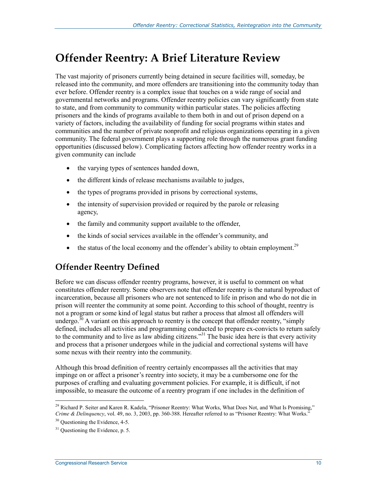## **Offender Reentry: A Brief Literature Review**

The vast majority of prisoners currently being detained in secure facilities will, someday, be released into the community, and more offenders are transitioning into the community today than ever before. Offender reentry is a complex issue that touches on a wide range of social and governmental networks and programs. Offender reentry policies can vary significantly from state to state, and from community to community within particular states. The policies affecting prisoners and the kinds of programs available to them both in and out of prison depend on a variety of factors, including the availability of funding for social programs within states and communities and the number of private nonprofit and religious organizations operating in a given community. The federal government plays a supporting role through the numerous grant funding opportunities (discussed below). Complicating factors affecting how offender reentry works in a given community can include

- the varying types of sentences handed down,
- the different kinds of release mechanisms available to judges,
- the types of programs provided in prisons by correctional systems,
- the intensity of supervision provided or required by the parole or releasing agency,
- the family and community support available to the offender,
- the kinds of social services available in the offender's community, and
- the status of the local economy and the offender's ability to obtain employment.<sup>29</sup>

## **Offender Reentry Defined**

Before we can discuss offender reentry programs, however, it is useful to comment on what constitutes offender reentry. Some observers note that offender reentry is the natural byproduct of incarceration, because all prisoners who are not sentenced to life in prison and who do not die in prison will reenter the community at some point. According to this school of thought, reentry is not a program or some kind of legal status but rather a process that almost all offenders will undergo.<sup>30</sup> A variant on this approach to reentry is the concept that offender reentry, "simply defined, includes all activities and programming conducted to prepare ex-convicts to return safely to the community and to live as law abiding citizens."31 The basic idea here is that every activity and process that a prisoner undergoes while in the judicial and correctional systems will have some nexus with their reentry into the community.

Although this broad definition of reentry certainly encompasses all the activities that may impinge on or affect a prisoner's reentry into society, it may be a cumbersome one for the purposes of crafting and evaluating government policies. For example, it is difficult, if not impossible, to measure the outcome of a reentry program if one includes in the definition of

<sup>&</sup>lt;sup>29</sup> Richard P. Seiter and Karen R. Kadela, "Prisoner Reentry: What Works, What Does Not, and What Is Promising," *Crime & Delinquency*, vol. 49, no. 3, 2003, pp. 360-388. Hereafter referred to as "Prisoner Reentry: What Works."

<sup>&</sup>lt;sup>30</sup> Ouestioning the Evidence, 4-5.

 $31$  Questioning the Evidence, p. 5.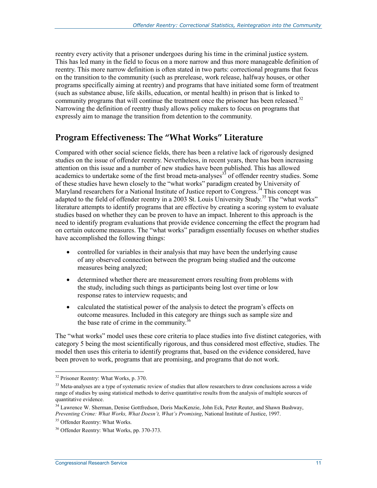reentry every activity that a prisoner undergoes during his time in the criminal justice system. This has led many in the field to focus on a more narrow and thus more manageable definition of reentry. This more narrow definition is often stated in two parts: correctional programs that focus on the transition to the community (such as prerelease, work release, halfway houses, or other programs specifically aiming at reentry) and programs that have initiated some form of treatment (such as substance abuse, life skills, education, or mental health) in prison that is linked to community programs that will continue the treatment once the prisoner has been released.<sup>32</sup> Narrowing the definition of reentry thusly allows policy makers to focus on programs that expressly aim to manage the transition from detention to the community.

### **Program Effectiveness: The "What Works" Literature**

Compared with other social science fields, there has been a relative lack of rigorously designed studies on the issue of offender reentry. Nevertheless, in recent years, there has been increasing attention on this issue and a number of new studies have been published. This has allowed academics to undertake some of the first broad meta-analyses<sup>33</sup> of offender reentry studies. Some of these studies have hewn closely to the "what works" paradigm created by University of Maryland researchers for a National Institute of Justice report to Congress.<sup>34</sup> This concept was adapted to the field of offender reentry in a 2003 St. Louis University Study.<sup>35</sup> The "what works" literature attempts to identify programs that are effective by creating a scoring system to evaluate studies based on whether they can be proven to have an impact. Inherent to this approach is the need to identify program evaluations that provide evidence concerning the effect the program had on certain outcome measures. The "what works" paradigm essentially focuses on whether studies have accomplished the following things:

- controlled for variables in their analysis that may have been the underlying cause of any observed connection between the program being studied and the outcome measures being analyzed;
- determined whether there are measurement errors resulting from problems with the study, including such things as participants being lost over time or low response rates to interview requests; and
- calculated the statistical power of the analysis to detect the program's effects on outcome measures. Included in this category are things such as sample size and the base rate of crime in the community. $36$

The "what works" model uses these core criteria to place studies into five distinct categories, with category 5 being the most scientifically rigorous, and thus considered most effective, studies. The model then uses this criteria to identify programs that, based on the evidence considered, have been proven to work, programs that are promising, and programs that do not work.

<sup>&</sup>lt;sup>32</sup> Prisoner Reentry: What Works, p. 370.

<sup>&</sup>lt;sup>33</sup> Meta-analyses are a type of systematic review of studies that allow researchers to draw conclusions across a wide range of studies by using statistical methods to derive quantitative results from the analysis of multiple sources of quantitative evidence.

<sup>34</sup> Lawrence W. Sherman, Denise Gottfredson, Doris MacKenzie, John Eck, Peter Reuter, and Shawn Bushway, *Preventing Crime: What Works, What Doesn't, What's Promising*, National Institute of Justice, 1997.

<sup>&</sup>lt;sup>35</sup> Offender Reentry: What Works.

<sup>36</sup> Offender Reentry: What Works, pp. 370-373.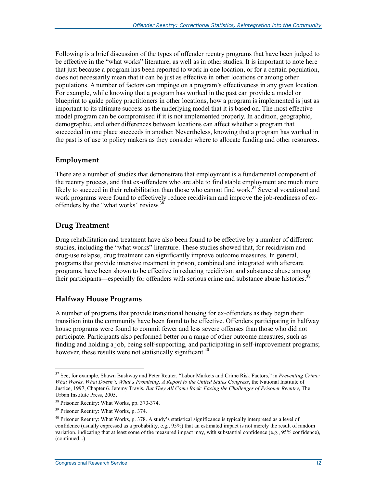Following is a brief discussion of the types of offender reentry programs that have been judged to be effective in the "what works" literature, as well as in other studies. It is important to note here that just because a program has been reported to work in one location, or for a certain population, does not necessarily mean that it can be just as effective in other locations or among other populations. A number of factors can impinge on a program's effectiveness in any given location. For example, while knowing that a program has worked in the past can provide a model or blueprint to guide policy practitioners in other locations, how a program is implemented is just as important to its ultimate success as the underlying model that it is based on. The most effective model program can be compromised if it is not implemented properly. In addition, geographic, demographic, and other differences between locations can affect whether a program that succeeded in one place succeeds in another. Nevertheless, knowing that a program has worked in the past is of use to policy makers as they consider where to allocate funding and other resources.

#### **Employment**

There are a number of studies that demonstrate that employment is a fundamental component of the reentry process, and that ex-offenders who are able to find stable employment are much more likely to succeed in their rehabilitation than those who cannot find work.<sup>37</sup> Several vocational and work programs were found to effectively reduce recidivism and improve the job-readiness of exoffenders by the "what works" review.<sup>38</sup>

#### **Drug Treatment**

Drug rehabilitation and treatment have also been found to be effective by a number of different studies, including the "what works" literature. These studies showed that, for recidivism and drug-use relapse, drug treatment can significantly improve outcome measures. In general, programs that provide intensive treatment in prison, combined and integrated with aftercare programs, have been shown to be effective in reducing recidivism and substance abuse among their participants—especially for offenders with serious crime and substance abuse histories.<sup>39</sup>

#### **Halfway House Programs**

A number of programs that provide transitional housing for ex-offenders as they begin their transition into the community have been found to be effective. Offenders participating in halfway house programs were found to commit fewer and less severe offenses than those who did not participate. Participants also performed better on a range of other outcome measures, such as finding and holding a job, being self-supporting, and participating in self-improvement programs; however, these results were not statistically significant.<sup>40</sup>

<sup>37</sup> See, for example, Shawn Bushway and Peter Reuter, "Labor Markets and Crime Risk Factors," in *Preventing Crime: What Works, What Doesn't, What's Promising. A Report to the United States Congress*, the National Institute of Justice, 1997, Chapter 6. Jeremy Travis, *But They All Come Back: Facing the Challenges of Prisoner Reentry*, The Urban Institute Press, 2005.

<sup>38</sup> Prisoner Reentry: What Works, pp. 373-374.

<sup>39</sup> Prisoner Reentry: What Works, p. 374.

 $40$  Prisoner Reentry: What Works, p. 378. A study's statistical significance is typically interpreted as a level of confidence (usually expressed as a probability, e.g., 95%) that an estimated impact is not merely the result of random variation, indicating that at least some of the measured impact may, with substantial confidence (e.g., 95% confidence), (continued...)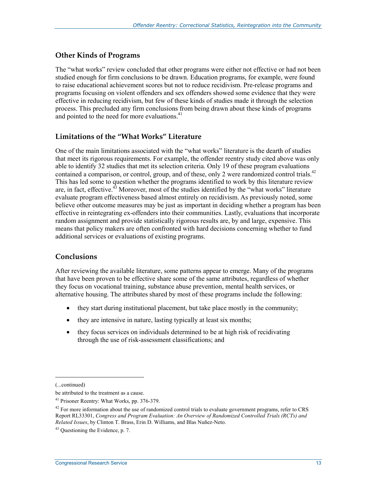#### **Other Kinds of Programs**

The "what works" review concluded that other programs were either not effective or had not been studied enough for firm conclusions to be drawn. Education programs, for example, were found to raise educational achievement scores but not to reduce recidivism. Pre-release programs and programs focusing on violent offenders and sex offenders showed some evidence that they were effective in reducing recidivism, but few of these kinds of studies made it through the selection process. This precluded any firm conclusions from being drawn about these kinds of programs and pointed to the need for more evaluations.<sup>41</sup>

#### **Limitations of the "What Works" Literature**

One of the main limitations associated with the "what works" literature is the dearth of studies that meet its rigorous requirements. For example, the offender reentry study cited above was only able to identify 32 studies that met its selection criteria. Only 19 of these program evaluations contained a comparison, or control, group, and of these, only 2 were randomized control trials.<sup>42</sup> This has led some to question whether the programs identified to work by this literature review are, in fact, effective.<sup>43</sup> Moreover, most of the studies identified by the "what works" literature evaluate program effectiveness based almost entirely on recidivism. As previously noted, some believe other outcome measures may be just as important in deciding whether a program has been effective in reintegrating ex-offenders into their communities. Lastly, evaluations that incorporate random assignment and provide statistically rigorous results are, by and large, expensive. This means that policy makers are often confronted with hard decisions concerning whether to fund additional services or evaluations of existing programs.

#### **Conclusions**

After reviewing the available literature, some patterns appear to emerge. Many of the programs that have been proven to be effective share some of the same attributes, regardless of whether they focus on vocational training, substance abuse prevention, mental health services, or alternative housing. The attributes shared by most of these programs include the following:

- they start during institutional placement, but take place mostly in the community;
- they are intensive in nature, lasting typically at least six months;
- they focus services on individuals determined to be at high risk of recidivating through the use of risk-assessment classifications; and

<sup>(...</sup>continued)

be attributed to the treatment as a cause.

<sup>41</sup> Prisoner Reentry: What Works, pp. 376-379.

 $42$  For more information about the use of randomized control trials to evaluate government programs, refer to CRS Report RL33301, *Congress and Program Evaluation: An Overview of Randomized Controlled Trials (RCTs) and Related Issues*, by Clinton T. Brass, Erin D. Williams, and Blas Nuñez-Neto.

 $43$  Questioning the Evidence, p. 7.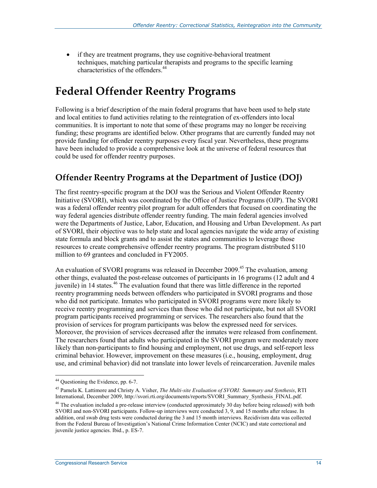• if they are treatment programs, they use cognitive-behavioral treatment techniques, matching particular therapists and programs to the specific learning characteristics of the offenders.44

## **Federal Offender Reentry Programs**

Following is a brief description of the main federal programs that have been used to help state and local entities to fund activities relating to the reintegration of ex-offenders into local communities. It is important to note that some of these programs may no longer be receiving funding; these programs are identified below. Other programs that are currently funded may not provide funding for offender reentry purposes every fiscal year. Nevertheless, these programs have been included to provide a comprehensive look at the universe of federal resources that could be used for offender reentry purposes.

## **Offender Reentry Programs at the Department of Justice (DOJ)**

The first reentry-specific program at the DOJ was the Serious and Violent Offender Reentry Initiative (SVORI), which was coordinated by the Office of Justice Programs (OJP). The SVORI was a federal offender reentry pilot program for adult offenders that focused on coordinating the way federal agencies distribute offender reentry funding. The main federal agencies involved were the Departments of Justice, Labor, Education, and Housing and Urban Development. As part of SVORI, their objective was to help state and local agencies navigate the wide array of existing state formula and block grants and to assist the states and communities to leverage those resources to create comprehensive offender reentry programs. The program distributed \$110 million to 69 grantees and concluded in FY2005.

An evaluation of SVORI programs was released in December 2009.<sup>45</sup> The evaluation, among other things, evaluated the post-release outcomes of participants in 16 programs (12 adult and 4 juvenile) in 14 states.<sup>46</sup> The evaluation found that there was little difference in the reported reentry programming needs between offenders who participated in SVORI programs and those who did not participate. Inmates who participated in SVORI programs were more likely to receive reentry programming and services than those who did not participate, but not all SVORI program participants received programming or services. The researchers also found that the provision of services for program participants was below the expressed need for services. Moreover, the provision of services decreased after the inmates were released from confinement. The researchers found that adults who participated in the SVORI program were moderately more likely than non-participants to find housing and employment, not use drugs, and self-report less criminal behavior. However, improvement on these measures (i.e., housing, employment, drug use, and criminal behavior) did not translate into lower levels of reincarceration. Juvenile males

<sup>&</sup>lt;sup>44</sup> Questioning the Evidence, pp. 6-7.

<sup>45</sup> Pamela K. Lattimore and Christy A. Visher, *The Multi-site Evaluation of SVORI: Summary and Synthesis*, RTI International, December 2009, http://svori.rti.org/documents/reports/SVORI\_Summary\_Synthesis\_FINAL.pdf.

<sup>&</sup>lt;sup>46</sup> The evaluation included a pre-release interview (conducted approximately 30 day before being released) with both SVORI and non-SVORI participants. Follow-up interviews were conducted 3, 9, and 15 months after release. In addition, oral swab drug tests were conducted during the 3 and 15 month interviews. Recidivism data was collected from the Federal Bureau of Investigation's National Crime Information Center (NCIC) and state correctional and juvenile justice agencies. Ibid., p. ES-7.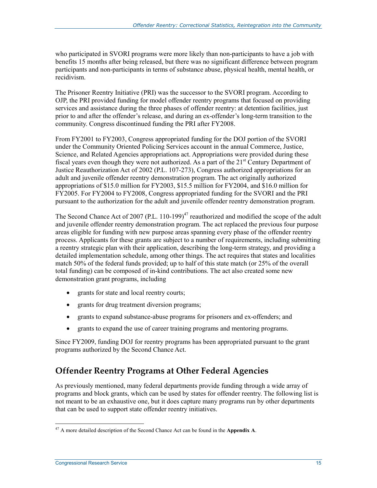who participated in SVORI programs were more likely than non-participants to have a job with benefits 15 months after being released, but there was no significant difference between program participants and non-participants in terms of substance abuse, physical health, mental health, or recidivism.

The Prisoner Reentry Initiative (PRI) was the successor to the SVORI program. According to OJP, the PRI provided funding for model offender reentry programs that focused on providing services and assistance during the three phases of offender reentry: at detention facilities, just prior to and after the offender's release, and during an ex-offender's long-term transition to the community. Congress discontinued funding the PRI after FY2008.

From FY2001 to FY2003, Congress appropriated funding for the DOJ portion of the SVORI under the Community Oriented Policing Services account in the annual Commerce, Justice, Science, and Related Agencies appropriations act. Appropriations were provided during these fiscal years even though they were not authorized. As a part of the  $21<sup>st</sup>$  Century Department of Justice Reauthorization Act of 2002 (P.L. 107-273), Congress authorized appropriations for an adult and juvenile offender reentry demonstration program. The act originally authorized appropriations of \$15.0 million for FY2003, \$15.5 million for FY2004, and \$16.0 million for FY2005. For FY2004 to FY2008, Congress appropriated funding for the SVORI and the PRI pursuant to the authorization for the adult and juvenile offender reentry demonstration program.

The Second Chance Act of 2007 (P.L. 110-199) $^{47}$  reauthorized and modified the scope of the adult and juvenile offender reentry demonstration program. The act replaced the previous four purpose areas eligible for funding with new purpose areas spanning every phase of the offender reentry process. Applicants for these grants are subject to a number of requirements, including submitting a reentry strategic plan with their application, describing the long-term strategy, and providing a detailed implementation schedule, among other things. The act requires that states and localities match 50% of the federal funds provided; up to half of this state match (or 25% of the overall total funding) can be composed of in-kind contributions. The act also created some new demonstration grant programs, including

- grants for state and local reentry courts;
- grants for drug treatment diversion programs;
- grants to expand substance-abuse programs for prisoners and ex-offenders; and
- grants to expand the use of career training programs and mentoring programs.

Since FY2009, funding DOJ for reentry programs has been appropriated pursuant to the grant programs authorized by the Second Chance Act.

## **Offender Reentry Programs at Other Federal Agencies**

As previously mentioned, many federal departments provide funding through a wide array of programs and block grants, which can be used by states for offender reentry. The following list is not meant to be an exhaustive one, but it does capture many programs run by other departments that can be used to support state offender reentry initiatives.

<u>.</u>

<sup>47</sup> A more detailed description of the Second Chance Act can be found in the **Appendix A**.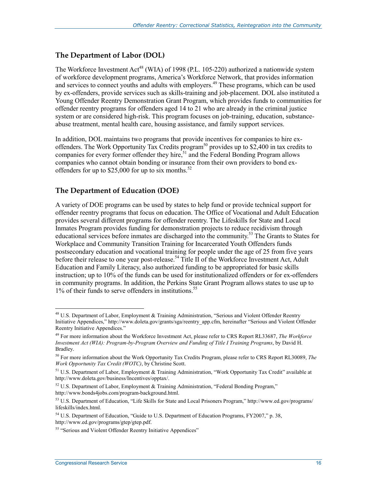#### **The Department of Labor (DOL)**

The Workforce Investment Act<sup>48</sup> (WIA) of 1998 (P.L. 105-220) authorized a nationwide system of workforce development programs, America's Workforce Network, that provides information and services to connect youths and adults with employers.<sup>49</sup> These programs, which can be used by ex-offenders, provide services such as skills-training and job-placement. DOL also instituted a Young Offender Reentry Demonstration Grant Program, which provides funds to communities for offender reentry programs for offenders aged 14 to 21 who are already in the criminal justice system or are considered high-risk. This program focuses on job-training, education, substanceabuse treatment, mental health care, housing assistance, and family support services.

In addition, DOL maintains two programs that provide incentives for companies to hire exoffenders. The Work Opportunity Tax Credits program<sup>50</sup> provides up to \$2,400 in tax credits to companies for every former offender they hire,<sup>51</sup> and the Federal Bonding Program allows companies who cannot obtain bonding or insurance from their own providers to bond exoffenders for up to \$25,000 for up to six months. $52$ 

#### **The Department of Education (DOE)**

A variety of DOE programs can be used by states to help fund or provide technical support for offender reentry programs that focus on education. The Office of Vocational and Adult Education provides several different programs for offender reentry. The Lifeskills for State and Local Inmates Program provides funding for demonstration projects to reduce recidivism through educational services before inmates are discharged into the community.<sup>53</sup> The Grants to States for Workplace and Community Transition Training for Incarcerated Youth Offenders funds postsecondary education and vocational training for people under the age of 25 from five years before their release to one year post-release.<sup>54</sup> Title II of the Workforce Investment Act, Adult Education and Family Literacy, also authorized funding to be appropriated for basic skills instruction; up to 10% of the funds can be used for institutionalized offenders or for ex-offenders in community programs. In addition, the Perkins State Grant Program allows states to use up to 1% of their funds to serve offenders in institutions.55

<sup>&</sup>lt;sup>48</sup> U.S. Department of Labor, Employment & Training Administration, "Serious and Violent Offender Reentry Initiative Appendices," http://www.doleta.gov/grants/sga/reentry\_app.cfm, hereinafter "Serious and Violent Offender Reentry Initiative Appendices."

<sup>49</sup> For more information about the Workforce Investment Act, please refer to CRS Report RL33687, *The Workforce Investment Act (WIA): Program-by-Program Overview and Funding of Title I Training Programs*, by David H. Bradley.

<sup>50</sup> For more information about the Work Opportunity Tax Credits Program, please refer to CRS Report RL30089, *The Work Opportunity Tax Credit (WOTC)*, by Christine Scott.

<sup>&</sup>lt;sup>51</sup> U.S. Department of Labor, Employment & Training Administration, "Work Opportunity Tax Credit" available at http://www.doleta.gov/business/Incentives/opptax/.

 $52$  U.S. Department of Labor, Employment & Training Administration, "Federal Bonding Program," http://www.bonds4jobs.com/program-background.html.

<sup>53</sup> U.S. Department of Education, "Life Skills for State and Local Prisoners Program," http://www.ed.gov/programs/ lifeskills/index.html.

<sup>&</sup>lt;sup>54</sup> U.S. Department of Education, "Guide to U.S. Department of Education Programs, FY2007," p. 38, http://www.ed.gov/programs/gtep/gtep.pdf.

<sup>&</sup>lt;sup>55</sup> "Serious and Violent Offender Reentry Initiative Appendices"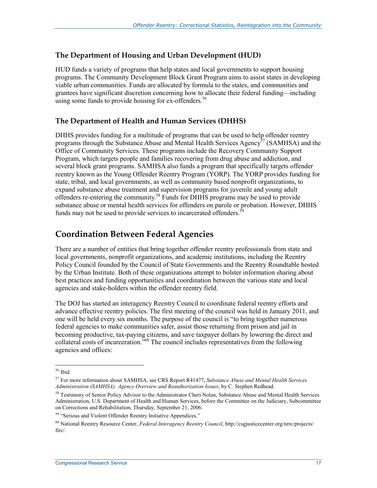#### **The Department of Housing and Urban Development (HUD)**

HUD funds a variety of programs that help states and local governments to support housing programs. The Community Development Block Grant Program aims to assist states in developing viable urban communities. Funds are allocated by formula to the states, and communities and grantees have significant discretion concerning how to allocate their federal funding—including using some funds to provide housing for ex-offenders.<sup>56</sup>

#### **The Department of Health and Human Services (DHHS)**

DHHS provides funding for a multitude of programs that can be used to help offender reentry programs through the Substance Abuse and Mental Health Services Agency<sup>37</sup> (SAMHSA) and the Office of Community Services. These programs include the Recovery Community Support Program, which targets people and families recovering from drug abuse and addiction, and several block grant programs. SAMHSA also funds a program that specifically targets offender reentry known as the Young Offender Reentry Program (YORP). The YORP provides funding for state, tribal, and local governments, as well as community based nonprofit organizations, to expand substance abuse treatment and supervision programs for juvenile and young adult offenders re-entering the community.<sup>58</sup> Funds for DHHS programs may be used to provide substance abuse or mental health services for offenders on parole or probation. However, DHHS funds may not be used to provide services to incarcerated offenders.<sup>5</sup>

### **Coordination Between Federal Agencies**

There are a number of entities that bring together offender reentry professionals from state and local governments, nonprofit organizations, and academic institutions, including the Reentry Policy Council founded by the Council of State Governments and the Reentry Roundtable hosted by the Urban Institute. Both of these organizations attempt to bolster information sharing about best practices and funding opportunities and coordination between the various state and local agencies and stake-holders within the offender reentry field.

The DOJ has started an interagency Reentry Council to coordinate federal reentry efforts and advance effective reentry policies. The first meeting of the council was held in January 2011, and one will be held every six months. The purpose of the council is "to bring together numerous federal agencies to make communities safer, assist those returning from prison and jail in becoming productive, tax-paying citizens, and save taxpayer dollars by lowering the direct and collateral costs of incarceration."60 The council includes representatives from the following agencies and offices:

<sup>56</sup> Ibid.

<sup>57</sup> For more information about SAMHSA, see CRS Report R41477, *Substance Abuse and Mental Health Services Administration (SAMHSA): Agency Overview and Reauthorization Issues*, by C. Stephen Redhead.

<sup>&</sup>lt;sup>58</sup> Testimony of Senior Policy Advisor to the Administrator Cheri Nolan, Substance Abuse and Mental Health Services Administration, U.S. Department of Health and Human Services, before the Committee on the Judiciary, Subcommittee on Corrections and Rehabilitation, Thursday, September 21, 2006.

<sup>&</sup>lt;sup>59</sup> "Serious and Violent Offender Reentry Initiative Appendices."

<sup>60</sup> National Reentry Resource Center, *Federal Interagency Reentry Council*, http://csgjusticecenter.org/nrrc/projects/ firc/.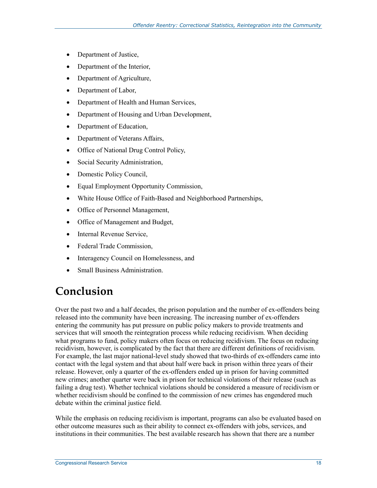- Department of Justice,
- Department of the Interior,
- Department of Agriculture,
- Department of Labor,
- Department of Health and Human Services,
- Department of Housing and Urban Development,
- Department of Education,
- Department of Veterans Affairs,
- Office of National Drug Control Policy,
- Social Security Administration,
- Domestic Policy Council,
- Equal Employment Opportunity Commission,
- White House Office of Faith-Based and Neighborhood Partnerships,
- Office of Personnel Management,
- Office of Management and Budget,
- Internal Revenue Service,
- Federal Trade Commission,
- Interagency Council on Homelessness, and
- Small Business Administration.

## **Conclusion**

Over the past two and a half decades, the prison population and the number of ex-offenders being released into the community have been increasing. The increasing number of ex-offenders entering the community has put pressure on public policy makers to provide treatments and services that will smooth the reintegration process while reducing recidivism. When deciding what programs to fund, policy makers often focus on reducing recidivism. The focus on reducing recidivism, however, is complicated by the fact that there are different definitions of recidivism. For example, the last major national-level study showed that two-thirds of ex-offenders came into contact with the legal system and that about half were back in prison within three years of their release. However, only a quarter of the ex-offenders ended up in prison for having committed new crimes; another quarter were back in prison for technical violations of their release (such as failing a drug test). Whether technical violations should be considered a measure of recidivism or whether recidivism should be confined to the commission of new crimes has engendered much debate within the criminal justice field.

While the emphasis on reducing recidivism is important, programs can also be evaluated based on other outcome measures such as their ability to connect ex-offenders with jobs, services, and institutions in their communities. The best available research has shown that there are a number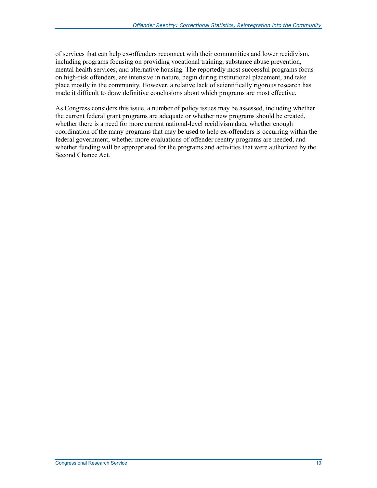of services that can help ex-offenders reconnect with their communities and lower recidivism, including programs focusing on providing vocational training, substance abuse prevention, mental health services, and alternative housing. The reportedly most successful programs focus on high-risk offenders, are intensive in nature, begin during institutional placement, and take place mostly in the community. However, a relative lack of scientifically rigorous research has made it difficult to draw definitive conclusions about which programs are most effective.

As Congress considers this issue, a number of policy issues may be assessed, including whether the current federal grant programs are adequate or whether new programs should be created, whether there is a need for more current national-level recidivism data, whether enough coordination of the many programs that may be used to help ex-offenders is occurring within the federal government, whether more evaluations of offender reentry programs are needed, and whether funding will be appropriated for the programs and activities that were authorized by the Second Chance Act.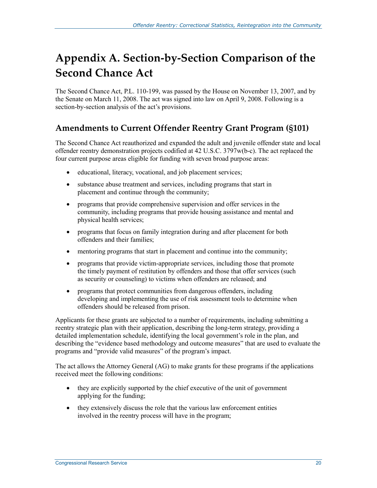## **Appendix A. Section-by-Section Comparison of the Second Chance Act**

The Second Chance Act, P.L. 110-199, was passed by the House on November 13, 2007, and by the Senate on March 11, 2008. The act was signed into law on April 9, 2008. Following is a section-by-section analysis of the act's provisions.

## **Amendments to Current Offender Reentry Grant Program (§101)**

The Second Chance Act reauthorized and expanded the adult and juvenile offender state and local offender reentry demonstration projects codified at 42 U.S.C. 3797w(b-c). The act replaced the four current purpose areas eligible for funding with seven broad purpose areas:

- educational, literacy, vocational, and job placement services;
- substance abuse treatment and services, including programs that start in placement and continue through the community;
- programs that provide comprehensive supervision and offer services in the community, including programs that provide housing assistance and mental and physical health services;
- programs that focus on family integration during and after placement for both offenders and their families;
- mentoring programs that start in placement and continue into the community;
- programs that provide victim-appropriate services, including those that promote the timely payment of restitution by offenders and those that offer services (such as security or counseling) to victims when offenders are released; and
- programs that protect communities from dangerous offenders, including developing and implementing the use of risk assessment tools to determine when offenders should be released from prison.

Applicants for these grants are subjected to a number of requirements, including submitting a reentry strategic plan with their application, describing the long-term strategy, providing a detailed implementation schedule, identifying the local government's role in the plan, and describing the "evidence based methodology and outcome measures" that are used to evaluate the programs and "provide valid measures" of the program's impact.

The act allows the Attorney General (AG) to make grants for these programs if the applications received meet the following conditions:

- they are explicitly supported by the chief executive of the unit of government applying for the funding;
- they extensively discuss the role that the various law enforcement entities involved in the reentry process will have in the program;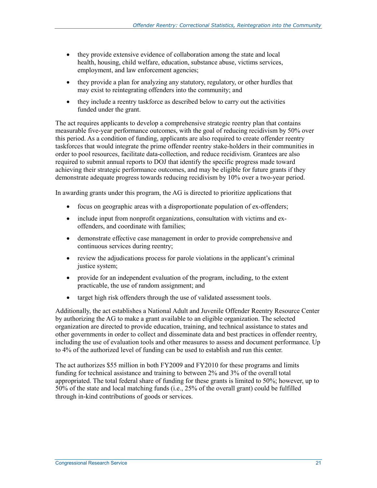- they provide extensive evidence of collaboration among the state and local health, housing, child welfare, education, substance abuse, victims services, employment, and law enforcement agencies;
- they provide a plan for analyzing any statutory, regulatory, or other hurdles that may exist to reintegrating offenders into the community; and
- they include a reentry taskforce as described below to carry out the activities funded under the grant.

The act requires applicants to develop a comprehensive strategic reentry plan that contains measurable five-year performance outcomes, with the goal of reducing recidivism by 50% over this period. As a condition of funding, applicants are also required to create offender reentry taskforces that would integrate the prime offender reentry stake-holders in their communities in order to pool resources, facilitate data-collection, and reduce recidivism. Grantees are also required to submit annual reports to DOJ that identify the specific progress made toward achieving their strategic performance outcomes, and may be eligible for future grants if they demonstrate adequate progress towards reducing recidivism by 10% over a two-year period.

In awarding grants under this program, the AG is directed to prioritize applications that

- focus on geographic areas with a disproportionate population of ex-offenders;
- include input from nonprofit organizations, consultation with victims and exoffenders, and coordinate with families;
- demonstrate effective case management in order to provide comprehensive and continuous services during reentry;
- review the adjudications process for parole violations in the applicant's criminal justice system;
- provide for an independent evaluation of the program, including, to the extent practicable, the use of random assignment; and
- target high risk offenders through the use of validated assessment tools.

Additionally, the act establishes a National Adult and Juvenile Offender Reentry Resource Center by authorizing the AG to make a grant available to an eligible organization. The selected organization are directed to provide education, training, and technical assistance to states and other governments in order to collect and disseminate data and best practices in offender reentry, including the use of evaluation tools and other measures to assess and document performance. Up to 4% of the authorized level of funding can be used to establish and run this center.

The act authorizes \$55 million in both FY2009 and FY2010 for these programs and limits funding for technical assistance and training to between 2% and 3% of the overall total appropriated. The total federal share of funding for these grants is limited to 50%; however, up to 50% of the state and local matching funds (i.e., 25% of the overall grant) could be fulfilled through in-kind contributions of goods or services.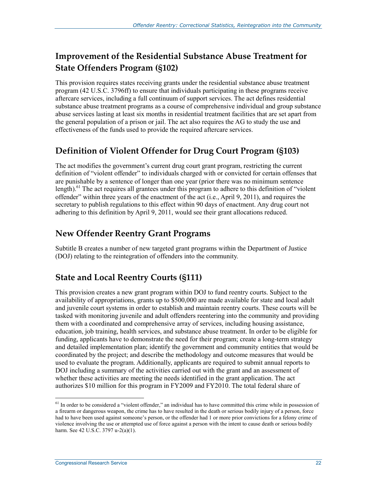## **Improvement of the Residential Substance Abuse Treatment for State Offenders Program (§102)**

This provision requires states receiving grants under the residential substance abuse treatment program (42 U.S.C. 3796ff) to ensure that individuals participating in these programs receive aftercare services, including a full continuum of support services. The act defines residential substance abuse treatment programs as a course of comprehensive individual and group substance abuse services lasting at least six months in residential treatment facilities that are set apart from the general population of a prison or jail. The act also requires the AG to study the use and effectiveness of the funds used to provide the required aftercare services.

## **Definition of Violent Offender for Drug Court Program (§103)**

The act modifies the government's current drug court grant program, restricting the current definition of "violent offender" to individuals charged with or convicted for certain offenses that are punishable by a sentence of longer than one year (prior there was no minimum sentence length).<sup>61</sup> The act requires all grantees under this program to adhere to this definition of "violent" offender" within three years of the enactment of the act (i.e., April 9, 2011), and requires the secretary to publish regulations to this effect within 90 days of enactment. Any drug court not adhering to this definition by April 9, 2011, would see their grant allocations reduced.

### **New Offender Reentry Grant Programs**

Subtitle B creates a number of new targeted grant programs within the Department of Justice (DOJ) relating to the reintegration of offenders into the community.

## **State and Local Reentry Courts (§111)**

This provision creates a new grant program within DOJ to fund reentry courts. Subject to the availability of appropriations, grants up to \$500,000 are made available for state and local adult and juvenile court systems in order to establish and maintain reentry courts. These courts will be tasked with monitoring juvenile and adult offenders reentering into the community and providing them with a coordinated and comprehensive array of services, including housing assistance, education, job training, health services, and substance abuse treatment. In order to be eligible for funding, applicants have to demonstrate the need for their program; create a long-term strategy and detailed implementation plan; identify the government and community entities that would be coordinated by the project; and describe the methodology and outcome measures that would be used to evaluate the program. Additionally, applicants are required to submit annual reports to DOJ including a summary of the activities carried out with the grant and an assessment of whether these activities are meeting the needs identified in the grant application. The act authorizes \$10 million for this program in FY2009 and FY2010. The total federal share of

<sup>&</sup>lt;sup>61</sup> In order to be considered a "violent offender," an individual has to have committed this crime while in possession of a firearm or dangerous weapon, the crime has to have resulted in the death or serious bodily injury of a person, force had to have been used against someone's person, or the offender had 1 or more prior convictions for a felony crime of violence involving the use or attempted use of force against a person with the intent to cause death or serious bodily harm. See 42 U.S.C. 3797 u-2(a)(1).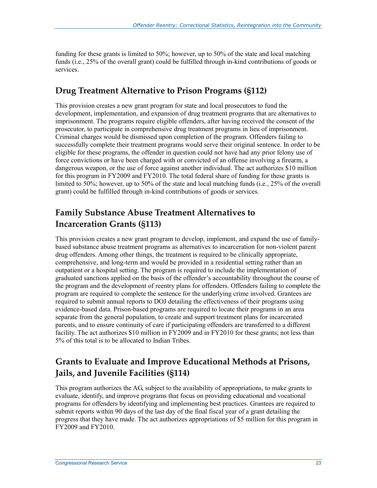funding for these grants is limited to 50%; however, up to 50% of the state and local matching funds (i.e., 25% of the overall grant) could be fulfilled through in-kind contributions of goods or services.

### **Drug Treatment Alternative to Prison Programs (§112)**

This provision creates a new grant program for state and local prosecutors to fund the development, implementation, and expansion of drug treatment programs that are alternatives to imprisonment. The programs require eligible offenders, after having received the consent of the prosecutor, to participate in comprehensive drug treatment programs in lieu of imprisonment. Criminal charges would be dismissed upon completion of the program. Offenders failing to successfully complete their treatment programs would serve their original sentence. In order to be eligible for these programs, the offender in question could not have had any prior felony use of force convictions or have been charged with or convicted of an offense involving a firearm, a dangerous weapon, or the use of force against another individual. The act authorizes \$10 million for this program in FY2009 and FY2010. The total federal share of funding for these grants is limited to 50%; however, up to 50% of the state and local matching funds (i.e., 25% of the overall grant) could be fulfilled through in-kind contributions of goods or services.

## **Family Substance Abuse Treatment Alternatives to Incarceration Grants (§113)**

This provision creates a new grant program to develop, implement, and expand the use of familybased substance abuse treatment programs as alternatives to incarceration for non-violent parent drug offenders. Among other things, the treatment is required to be clinically appropriate, comprehensive, and long-term and would be provided in a residential setting rather than an outpatient or a hospital setting. The program is required to include the implementation of graduated sanctions applied on the basis of the offender's accountability throughout the course of the program and the development of reentry plans for offenders. Offenders failing to complete the program are required to complete the sentence for the underlying crime involved. Grantees are required to submit annual reports to DOJ detailing the effectiveness of their programs using evidence-based data. Prison-based programs are required to locate their programs in an area separate from the general population, to create and support treatment plans for incarcerated parents, and to ensure continuity of care if participating offenders are transferred to a different facility. The act authorizes \$10 million in FY2009 and in FY2010 for these grants; not less than 5% of this total is to be allocated to Indian Tribes.

## **Grants to Evaluate and Improve Educational Methods at Prisons, Jails, and Juvenile Facilities (§114)**

This program authorizes the AG, subject to the availability of appropriations, to make grants to evaluate, identify, and improve programs that focus on providing educational and vocational programs for offenders by identifying and implementing best practices. Grantees are required to submit reports within 90 days of the last day of the final fiscal year of a grant detailing the progress that they have made. The act authorizes appropriations of \$5 million for this program in FY2009 and FY2010.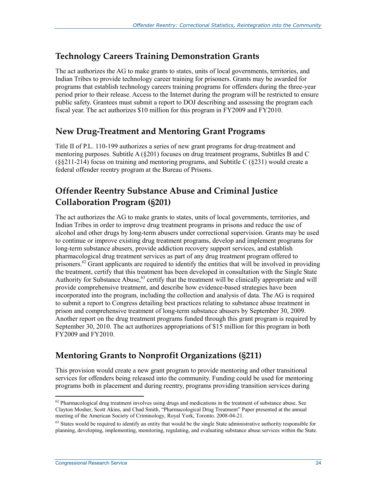### **Technology Careers Training Demonstration Grants**

The act authorizes the AG to make grants to states, units of local governments, territories, and Indian Tribes to provide technology career training for prisoners. Grants may be awarded for programs that establish technology careers training programs for offenders during the three-year period prior to their release. Access to the Internet during the program will be restricted to ensure public safety. Grantees must submit a report to DOJ describing and assessing the program each fiscal year. The act authorizes \$10 million for this program in FY2009 and FY2010.

## **New Drug-Treatment and Mentoring Grant Programs**

Title II of P.L. 110-199 authorizes a series of new grant programs for drug-treatment and mentoring purposes. Subtitle  $A(8201)$  focuses on drug treatment programs, Subtitles B and C (§§211-214) focus on training and mentoring programs, and Subtitle C (§231) would create a federal offender reentry program at the Bureau of Prisons.

## **Offender Reentry Substance Abuse and Criminal Justice Collaboration Program (§201)**

The act authorizes the AG to make grants to states, units of local governments, territories, and Indian Tribes in order to improve drug treatment programs in prisons and reduce the use of alcohol and other drugs by long-term abusers under correctional supervision. Grants may be used to continue or improve existing drug treatment programs, develop and implement programs for long-term substance abusers, provide addiction recovery support services, and establish pharmacological drug treatment services as part of any drug treatment program offered to prisoners.<sup>62</sup> Grant applicants are required to identify the entities that will be involved in providing the treatment, certify that this treatment has been developed in consultation with the Single State Authority for Substance Abuse,<sup>63</sup> certify that the treatment will be clinically appropriate and will provide comprehensive treatment, and describe how evidence-based strategies have been incorporated into the program, including the collection and analysis of data. The AG is required to submit a report to Congress detailing best practices relating to substance abuse treatment in prison and comprehensive treatment of long-term substance abusers by September 30, 2009. Another report on the drug treatment programs funded through this grant program is required by September 30, 2010. The act authorizes appropriations of \$15 million for this program in both FY2009 and FY2010.

## **Mentoring Grants to Nonprofit Organizations (§211)**

This provision would create a new grant program to provide mentoring and other transitional services for offenders being released into the community. Funding could be used for mentoring programs both in placement and during reentry, programs providing transition services during

<sup>&</sup>lt;sup>62</sup> Pharmacological drug treatment involves using drugs and medications in the treatment of substance abuse. See Clayton Mosher, Scott Akins, and Chad Smith, "Pharmacological Drug Treatment" Paper presented at the annual meeting of the American Society of Criminology, Royal York, Toronto. 2008-04-21.

 $63$  States would be required to identify an entity that would be the single State administrative authority responsible for planning, developing, implementing, monitoring, regulating, and evaluating substance abuse services within the State.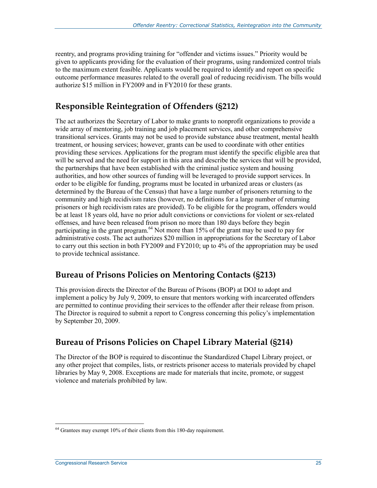reentry, and programs providing training for "offender and victims issues." Priority would be given to applicants providing for the evaluation of their programs, using randomized control trials to the maximum extent feasible. Applicants would be required to identify and report on specific outcome performance measures related to the overall goal of reducing recidivism. The bills would authorize \$15 million in FY2009 and in FY2010 for these grants.

## **Responsible Reintegration of Offenders (§212)**

The act authorizes the Secretary of Labor to make grants to nonprofit organizations to provide a wide array of mentoring, job training and job placement services, and other comprehensive transitional services. Grants may not be used to provide substance abuse treatment, mental health treatment, or housing services; however, grants can be used to coordinate with other entities providing these services. Applications for the program must identify the specific eligible area that will be served and the need for support in this area and describe the services that will be provided, the partnerships that have been established with the criminal justice system and housing authorities, and how other sources of funding will be leveraged to provide support services. In order to be eligible for funding, programs must be located in urbanized areas or clusters (as determined by the Bureau of the Census) that have a large number of prisoners returning to the community and high recidivism rates (however, no definitions for a large number of returning prisoners or high recidivism rates are provided). To be eligible for the program, offenders would be at least 18 years old, have no prior adult convictions or convictions for violent or sex-related offenses, and have been released from prison no more than 180 days before they begin participating in the grant program.<sup>64</sup> Not more than 15% of the grant may be used to pay for administrative costs. The act authorizes \$20 million in appropriations for the Secretary of Labor to carry out this section in both FY2009 and FY2010; up to 4% of the appropriation may be used to provide technical assistance.

### **Bureau of Prisons Policies on Mentoring Contacts (§213)**

This provision directs the Director of the Bureau of Prisons (BOP) at DOJ to adopt and implement a policy by July 9, 2009, to ensure that mentors working with incarcerated offenders are permitted to continue providing their services to the offender after their release from prison. The Director is required to submit a report to Congress concerning this policy's implementation by September 20, 2009.

## **Bureau of Prisons Policies on Chapel Library Material (§214)**

The Director of the BOP is required to discontinue the Standardized Chapel Library project, or any other project that compiles, lists, or restricts prisoner access to materials provided by chapel libraries by May 9, 2008. Exceptions are made for materials that incite, promote, or suggest violence and materials prohibited by law.

<u>.</u>

 $64$  Grantees may exempt 10% of their clients from this 180-day requirement.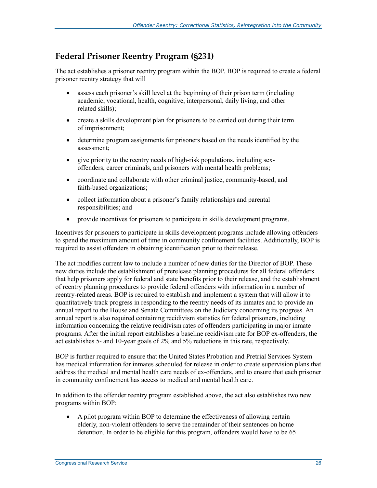### **Federal Prisoner Reentry Program (§231)**

The act establishes a prisoner reentry program within the BOP. BOP is required to create a federal prisoner reentry strategy that will

- assess each prisoner's skill level at the beginning of their prison term (including academic, vocational, health, cognitive, interpersonal, daily living, and other related skills);
- create a skills development plan for prisoners to be carried out during their term of imprisonment;
- determine program assignments for prisoners based on the needs identified by the assessment;
- give priority to the reentry needs of high-risk populations, including sexoffenders, career criminals, and prisoners with mental health problems;
- coordinate and collaborate with other criminal justice, community-based, and faith-based organizations;
- collect information about a prisoner's family relationships and parental responsibilities; and
- provide incentives for prisoners to participate in skills development programs.

Incentives for prisoners to participate in skills development programs include allowing offenders to spend the maximum amount of time in community confinement facilities. Additionally, BOP is required to assist offenders in obtaining identification prior to their release.

The act modifies current law to include a number of new duties for the Director of BOP. These new duties include the establishment of prerelease planning procedures for all federal offenders that help prisoners apply for federal and state benefits prior to their release, and the establishment of reentry planning procedures to provide federal offenders with information in a number of reentry-related areas. BOP is required to establish and implement a system that will allow it to quantitatively track progress in responding to the reentry needs of its inmates and to provide an annual report to the House and Senate Committees on the Judiciary concerning its progress. An annual report is also required containing recidivism statistics for federal prisoners, including information concerning the relative recidivism rates of offenders participating in major inmate programs. After the initial report establishes a baseline recidivism rate for BOP ex-offenders, the act establishes 5- and 10-year goals of 2% and 5% reductions in this rate, respectively.

BOP is further required to ensure that the United States Probation and Pretrial Services System has medical information for inmates scheduled for release in order to create supervision plans that address the medical and mental health care needs of ex-offenders, and to ensure that each prisoner in community confinement has access to medical and mental health care.

In addition to the offender reentry program established above, the act also establishes two new programs within BOP:

• A pilot program within BOP to determine the effectiveness of allowing certain elderly, non-violent offenders to serve the remainder of their sentences on home detention. In order to be eligible for this program, offenders would have to be 65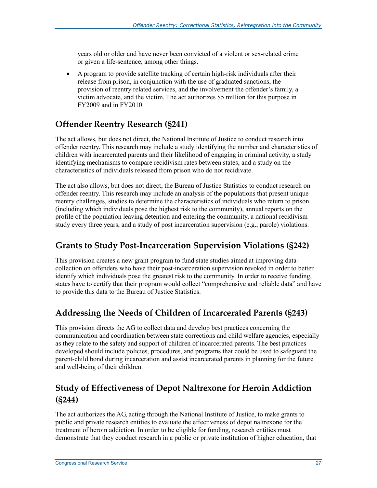years old or older and have never been convicted of a violent or sex-related crime or given a life-sentence, among other things.

• A program to provide satellite tracking of certain high-risk individuals after their release from prison, in conjunction with the use of graduated sanctions, the provision of reentry related services, and the involvement the offender's family, a victim advocate, and the victim. The act authorizes \$5 million for this purpose in FY2009 and in FY2010.

## **Offender Reentry Research (§241)**

The act allows, but does not direct, the National Institute of Justice to conduct research into offender reentry. This research may include a study identifying the number and characteristics of children with incarcerated parents and their likelihood of engaging in criminal activity, a study identifying mechanisms to compare recidivism rates between states, and a study on the characteristics of individuals released from prison who do not recidivate.

The act also allows, but does not direct, the Bureau of Justice Statistics to conduct research on offender reentry. This research may include an analysis of the populations that present unique reentry challenges, studies to determine the characteristics of individuals who return to prison (including which individuals pose the highest risk to the community), annual reports on the profile of the population leaving detention and entering the community, a national recidivism study every three years, and a study of post incarceration supervision (e.g., parole) violations.

### **Grants to Study Post-Incarceration Supervision Violations (§242)**

This provision creates a new grant program to fund state studies aimed at improving datacollection on offenders who have their post-incarceration supervision revoked in order to better identify which individuals pose the greatest risk to the community. In order to receive funding, states have to certify that their program would collect "comprehensive and reliable data" and have to provide this data to the Bureau of Justice Statistics.

## **Addressing the Needs of Children of Incarcerated Parents (§243)**

This provision directs the AG to collect data and develop best practices concerning the communication and coordination between state corrections and child welfare agencies, especially as they relate to the safety and support of children of incarcerated parents. The best practices developed should include policies, procedures, and programs that could be used to safeguard the parent-child bond during incarceration and assist incarcerated parents in planning for the future and well-being of their children.

## **Study of Effectiveness of Depot Naltrexone for Heroin Addiction (§244)**

The act authorizes the AG, acting through the National Institute of Justice, to make grants to public and private research entities to evaluate the effectiveness of depot naltrexone for the treatment of heroin addiction. In order to be eligible for funding, research entities must demonstrate that they conduct research in a public or private institution of higher education, that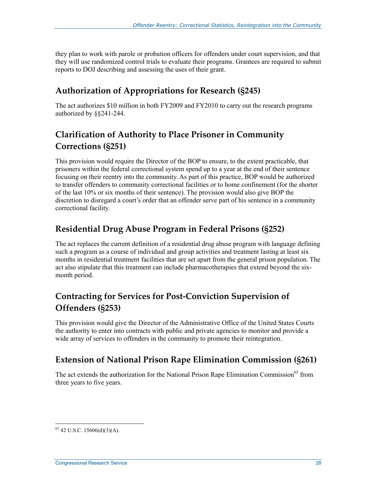they plan to work with parole or probation officers for offenders under court supervision, and that they will use randomized control trials to evaluate their programs. Grantees are required to submit reports to DOJ describing and assessing the uses of their grant.

## **Authorization of Appropriations for Research (§245)**

The act authorizes \$10 million in both FY2009 and FY2010 to carry out the research programs authorized by §§241-244.

## **Clarification of Authority to Place Prisoner in Community Corrections (§251)**

This provision would require the Director of the BOP to ensure, to the extent practicable, that prisoners within the federal correctional system spend up to a year at the end of their sentence focusing on their reentry into the community. As part of this practice, BOP would be authorized to transfer offenders to community correctional facilities or to home confinement (for the shorter of the last 10% or six months of their sentence). The provision would also give BOP the discretion to disregard a court's order that an offender serve part of his sentence in a community correctional facility.

### **Residential Drug Abuse Program in Federal Prisons (§252)**

The act replaces the current definition of a residential drug abuse program with language defining such a program as a course of individual and group activities and treatment lasting at least six months in residential treatment facilities that are set apart from the general prison population. The act also stipulate that this treatment can include pharmacotherapies that extend beyond the sixmonth period.

## **Contracting for Services for Post-Conviction Supervision of Offenders (§253)**

This provision would give the Director of the Administrative Office of the United States Courts the authority to enter into contracts with public and private agencies to monitor and provide a wide array of services to offenders in the community to promote their reintegration.

### **Extension of National Prison Rape Elimination Commission (§261)**

The act extends the authorization for the National Prison Rape Elimination Commission<sup>65</sup> from three years to five years.

<u>.</u>

 $65$  42 U.S.C. 15606(d)(3)(A).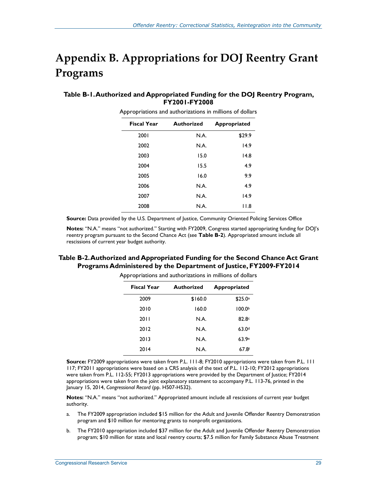## **Appendix B. Appropriations for DOJ Reentry Grant Programs**

#### **Table B-1. Authorized and Appropriated Funding for the DOJ Reentry Program, FY2001-FY2008**

| <b>Fiscal Year</b> | <b>Authorized</b> | <b>Appropriated</b> |
|--------------------|-------------------|---------------------|
| 2001               | N.A.              | \$29.9              |
| 2002               | N.A.              | 14.9                |
| 2003               | 15.0              | 14.8                |
| 2004               | 15.5              | 4.9                 |
| 2005               | 16.0              | 9.9                 |
| 2006               | N.A.              | 4.9                 |
| 2007               | N.A.              | 14.9                |
| 2008               | N.A.              | 11.8                |

Appropriations and authorizations in millions of dollars

**Source:** Data provided by the U.S. Department of Justice, Community Oriented Policing Services Office

**Notes:** "N.A." means "not authorized." Starting with FY2009, Congress started appropriating funding for DOJ's reentry program pursuant to the Second Chance Act (see **Table B-2**). Appropriated amount include all rescissions of current year budget authority.

#### **Table B-2. Authorized and Appropriated Funding for the Second Chance Act Grant Programs Administered by the Department of Justice, FY2009-FY2014**

| <b>Fiscal Year</b> | <b>Authorized</b> | <b>Appropriated</b> |
|--------------------|-------------------|---------------------|
| 2009               | \$160.0           | \$25.0a             |
| 2010               | 160.0             | 100.0 <sup>b</sup>  |
| 2011               | N.A.              | 82.8 <sup>c</sup>   |
| 2012               | N.A.              | 63.0 <sup>d</sup>   |
| 2013               | N.A.              | 63.9e               |
| 2014               | N.A.              | $67.8^{f}$          |

Appropriations and authorizations in millions of dollars

**Source:** FY2009 appropriations were taken from P.L. 111-8; FY2010 appropriations were taken from P.L. 111 117; FY2011 appropriations were based on a CRS analysis of the text of P.L. 112-10; FY2012 appropriations were taken from P.L. 112-55; FY2013 appropriations were provided by the Department of Justice; FY2014 appropriations were taken from the joint explanatory statement to accompany P.L. 113-76, printed in the January 15, 2014, *Congressional Record* (pp. H507-H532).

**Notes:** "N.A." means "not authorized." Appropriated amount include all rescissions of current year budget authority.

- a. The FY2009 appropriation included \$15 million for the Adult and Juvenile Offender Reentry Demonstration program and \$10 million for mentoring grants to nonprofit organizations.
- b. The FY2010 appropriation included \$37 million for the Adult and Juvenile Offender Reentry Demonstration program; \$10 million for state and local reentry courts; \$7.5 million for Family Substance Abuse Treatment